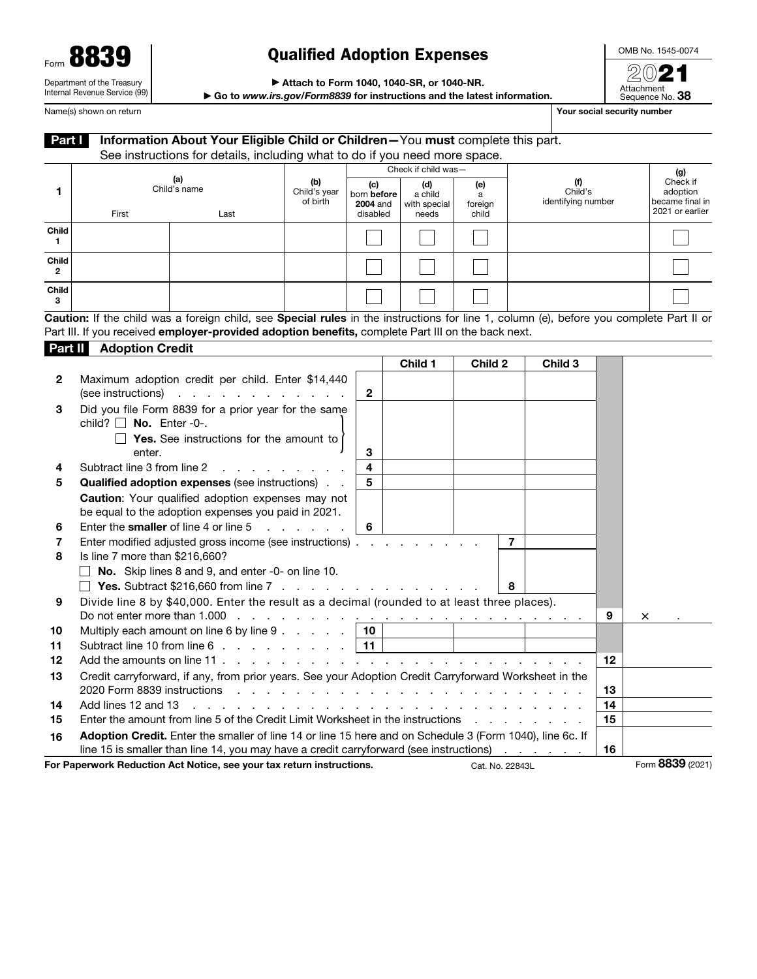| Form 8839                     | <b>Qualified Adoption Expenses</b>                                     | OMB No. 1545-00 |
|-------------------------------|------------------------------------------------------------------------|-----------------|
|                               |                                                                        | 2021            |
| Department of the Treasury    | Attach to Form 1040, 1040-SR, or 1040-NR.                              | Attachment      |
| Internal Revenue Service (99) | Co to unusing any/Form8820 for instructions and the latest information | Company No. 29  |

OMB No. 1545-0074

▶ Go to *www.irs.gov/Form8839* for instructions and the latest information.

Attachment<br>Sequence No. **38** Name(s) shown on return **Your social security number Your social security number** 

| Part I      |                                       | Information About Your Eligible Child or Children-You must complete this part.                                                                                                                     |                                   |                                       |                                                       |                     |                                                                                     |    |                  |                                                |
|-------------|---------------------------------------|----------------------------------------------------------------------------------------------------------------------------------------------------------------------------------------------------|-----------------------------------|---------------------------------------|-------------------------------------------------------|---------------------|-------------------------------------------------------------------------------------|----|------------------|------------------------------------------------|
|             |                                       | See instructions for details, including what to do if you need more space.                                                                                                                         |                                   |                                       |                                                       |                     |                                                                                     |    |                  |                                                |
| 1           |                                       | (a)<br>Child's name                                                                                                                                                                                | (b)<br>Child's year<br>of birth   | (c)<br>born before<br><b>2004</b> and | Check if child was-<br>(d)<br>a child<br>with special | (e)<br>a<br>foreign | (f)<br>Child's<br>identifying number                                                |    |                  | (g)<br>Check if<br>adoption<br>became final in |
|             | First                                 | Last                                                                                                                                                                                               |                                   | disabled                              | needs                                                 | child               |                                                                                     |    |                  | 2021 or earlier                                |
| Child<br>1. |                                       |                                                                                                                                                                                                    |                                   |                                       |                                                       |                     |                                                                                     |    |                  |                                                |
| Child<br>2  |                                       |                                                                                                                                                                                                    |                                   |                                       |                                                       |                     |                                                                                     |    |                  |                                                |
| Child<br>3  |                                       |                                                                                                                                                                                                    |                                   |                                       |                                                       |                     |                                                                                     |    |                  |                                                |
|             |                                       | Caution: If the child was a foreign child, see Special rules in the instructions for line 1, column (e), before you complete Part II or                                                            |                                   |                                       |                                                       |                     |                                                                                     |    |                  |                                                |
|             |                                       | Part III. If you received employer-provided adoption benefits, complete Part III on the back next.                                                                                                 |                                   |                                       |                                                       |                     |                                                                                     |    |                  |                                                |
|             | <b>Part II</b> Adoption Credit        |                                                                                                                                                                                                    |                                   |                                       |                                                       |                     |                                                                                     |    |                  |                                                |
|             |                                       |                                                                                                                                                                                                    |                                   |                                       | Child 1                                               | Child 2             | Child 3                                                                             |    |                  |                                                |
| 2           | (see instructions)                    | Maximum adoption credit per child. Enter \$14,440<br>and a straightful and a straight and                                                                                                          |                                   | $\mathbf{2}$                          |                                                       |                     |                                                                                     |    |                  |                                                |
| 3           | child? $\Box$ No. Enter -0-.          | Did you file Form 8839 for a prior year for the same                                                                                                                                               |                                   |                                       |                                                       |                     |                                                                                     |    |                  |                                                |
|             | enter.                                | $\Box$ Yes. See instructions for the amount to                                                                                                                                                     |                                   | 3                                     |                                                       |                     |                                                                                     |    |                  |                                                |
| 4           | Subtract line 3 from line 2           |                                                                                                                                                                                                    |                                   | 4                                     |                                                       |                     |                                                                                     |    |                  |                                                |
| 5           |                                       | Qualified adoption expenses (see instructions)                                                                                                                                                     |                                   | 5                                     |                                                       |                     |                                                                                     |    |                  |                                                |
|             |                                       | Caution: Your qualified adoption expenses may not<br>be equal to the adoption expenses you paid in 2021.                                                                                           |                                   |                                       |                                                       |                     |                                                                                     |    |                  |                                                |
| 6           | Enter the smaller of line 4 or line 5 |                                                                                                                                                                                                    | and the company of the company of | 6                                     |                                                       |                     |                                                                                     |    |                  |                                                |
| 7           |                                       | Enter modified adjusted gross income (see instructions)                                                                                                                                            |                                   |                                       | and the state of the state of                         |                     | 7                                                                                   |    |                  |                                                |
| 8           | Is line 7 more than \$216,660?        |                                                                                                                                                                                                    |                                   |                                       |                                                       |                     |                                                                                     |    |                  |                                                |
|             | $\Box$                                | No. Skip lines 8 and 9, and enter -0- on line 10.                                                                                                                                                  |                                   |                                       |                                                       |                     |                                                                                     |    |                  |                                                |
|             |                                       | <b>T</b> Yes. Subtract \$216,660 from line 7 $\ldots$ $\ldots$ $\ldots$ $\ldots$ $\ldots$ $\ldots$ $\ldots$                                                                                        |                                   |                                       |                                                       |                     | 8                                                                                   |    |                  |                                                |
| 9           |                                       | Divide line 8 by \$40,000. Enter the result as a decimal (rounded to at least three places).                                                                                                       |                                   |                                       |                                                       |                     |                                                                                     | 9  | ×                |                                                |
| 10          |                                       | Multiply each amount on line 6 by line $9 \cdot \cdot \cdot \cdot \cdot$   10                                                                                                                      |                                   |                                       |                                                       |                     |                                                                                     |    |                  |                                                |
| 11          |                                       | Subtract line 10 from line 6                                                                                                                                                                       |                                   | 11                                    |                                                       |                     |                                                                                     |    |                  |                                                |
| 12          |                                       | Add the amounts on line 11                                                                                                                                                                         |                                   |                                       | design and contract and contract and contract of      |                     |                                                                                     | 12 |                  |                                                |
| 13          | 2020 Form 8839 instructions           | Credit carryforward, if any, from prior years. See your Adoption Credit Carryforward Worksheet in the                                                                                              |                                   |                                       |                                                       |                     | the contract of the contract of the contract of the contract of the contract of the | 13 |                  |                                                |
| 14          | Add lines 12 and 13                   |                                                                                                                                                                                                    |                                   |                                       |                                                       |                     |                                                                                     | 14 |                  |                                                |
| 15          |                                       | Enter the amount from line 5 of the Credit Limit Worksheet in the instructions                                                                                                                     |                                   |                                       |                                                       |                     | and the company of the company of                                                   | 15 |                  |                                                |
| 16          |                                       | Adoption Credit. Enter the smaller of line 14 or line 15 here and on Schedule 3 (Form 1040), line 6c. If<br>line 15 is smaller than line 14, you may have a credit carryforward (see instructions) |                                   |                                       |                                                       |                     | and a state of the                                                                  | 16 |                  |                                                |
|             |                                       | For Paperwork Reduction Act Notice, see your tax return instructions.                                                                                                                              |                                   |                                       |                                                       | Cat. No. 22843L     |                                                                                     |    | Form 8839 (2021) |                                                |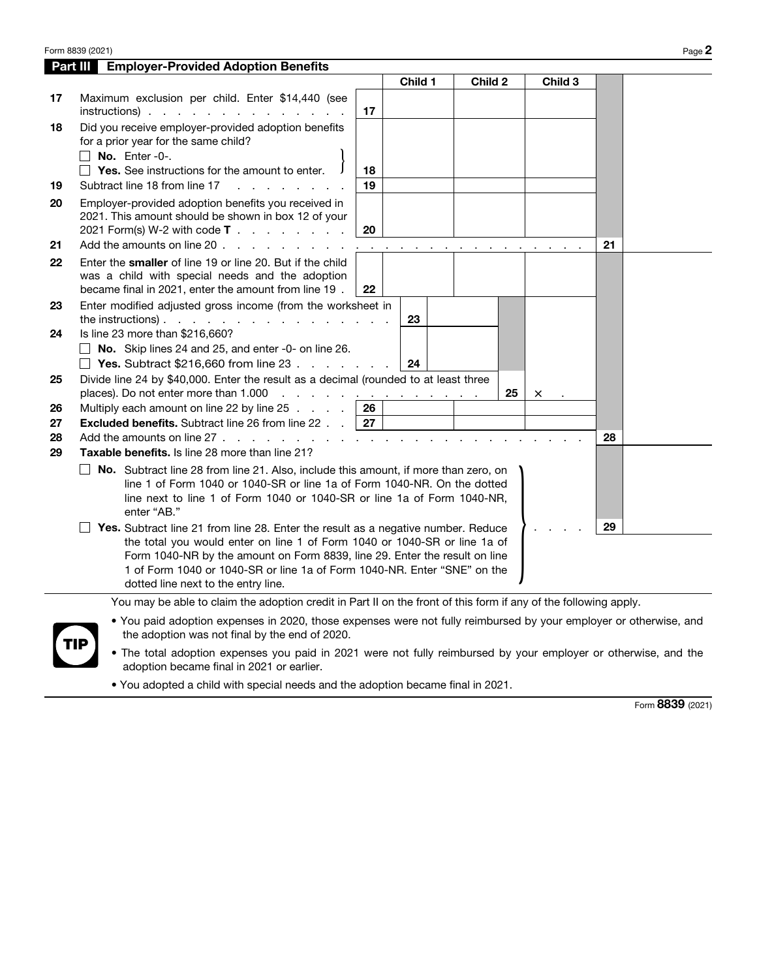|                |                                                                                                                                                                                                                                                                                                                          |          | Child 1 | Child 2 |    | Child 3  |    |  |
|----------------|--------------------------------------------------------------------------------------------------------------------------------------------------------------------------------------------------------------------------------------------------------------------------------------------------------------------------|----------|---------|---------|----|----------|----|--|
| 17             | Maximum exclusion per child. Enter \$14,440 (see<br>$instructions)$ .                                                                                                                                                                                                                                                    | 17       |         |         |    |          |    |  |
| 18             | Did you receive employer-provided adoption benefits<br>for a prior year for the same child?<br>No. Enter-0-.                                                                                                                                                                                                             |          |         |         |    |          |    |  |
| 19             | $\Box$ Yes. See instructions for the amount to enter.<br>Subtract line 18 from line 17                                                                                                                                                                                                                                   | 18<br>19 |         |         |    |          |    |  |
| 20<br>21       | Employer-provided adoption benefits you received in<br>2021. This amount should be shown in box 12 of your<br>2021 Form(s) W-2 with code $T :  :  : $<br>Add the amounts on line 20<br>$\sim$                                                                                                                            | 20       |         |         |    |          | 21 |  |
| 22             | Enter the smaller of line 19 or line 20. But if the child<br>was a child with special needs and the adoption<br>became final in 2021, enter the amount from line 19.                                                                                                                                                     | 22       |         |         |    |          |    |  |
| 23             | Enter modified adjusted gross income (from the worksheet in<br>the instructions). $\cdots$ $\cdots$ $\cdots$ $\cdots$ $\cdots$                                                                                                                                                                                           |          | 23      |         |    |          |    |  |
| 24             | Is line 23 more than \$216,660?<br>No. Skip lines 24 and 25, and enter -0- on line 26.<br><b>Yes.</b> Subtract \$216,660 from line 23 $\ldots$                                                                                                                                                                           |          | 24      |         |    |          |    |  |
| 25             | Divide line 24 by \$40,000. Enter the result as a decimal (rounded to at least three<br>places). Do not enter more than 1.000                                                                                                                                                                                            |          |         |         | 25 | $\times$ |    |  |
| 26             | Multiply each amount on line 22 by line 25 $\ldots$ $\ldots$   26                                                                                                                                                                                                                                                        |          |         |         |    |          |    |  |
| 27<br>28<br>29 | <b>Excluded benefits.</b> Subtract line 26 from line 22 $\ldots$   27<br>Add the amounts on line $27 \cdot \cdot \cdot \cdot \cdot \cdot \cdot \cdot \cdot \cdot \cdot \cdot \cdot$<br>Taxable benefits. Is line 28 more than line 21?                                                                                   |          |         |         |    |          | 28 |  |
|                | $\Box$ No. Subtract line 28 from line 21. Also, include this amount, if more than zero, on<br>line 1 of Form 1040 or 1040-SR or line 1a of Form 1040-NR. On the dotted<br>line next to line 1 of Form 1040 or 1040-SR or line 1a of Form 1040-NR,<br>enter "AB."                                                         |          |         |         |    |          |    |  |
|                | Yes. Subtract line 21 from line 28. Enter the result as a negative number. Reduce<br>the total you would enter on line 1 of Form 1040 or 1040-SR or line 1a of<br>Form 1040-NR by the amount on Form 8839, line 29. Enter the result on line<br>1 of Form 1040 or 1040-SR or line 1a of Form 1040-NR. Enter "SNE" on the |          |         |         |    |          | 29 |  |

- TIP
- You paid adoption expenses in 2020, those expenses were not fully reimbursed by your employer or otherwise, and the adoption was not final by the end of 2020.
	- The total adoption expenses you paid in 2021 were not fully reimbursed by your employer or otherwise, and the adoption became final in 2021 or earlier.
	- You adopted a child with special needs and the adoption became final in 2021.

Form 8839 (2021)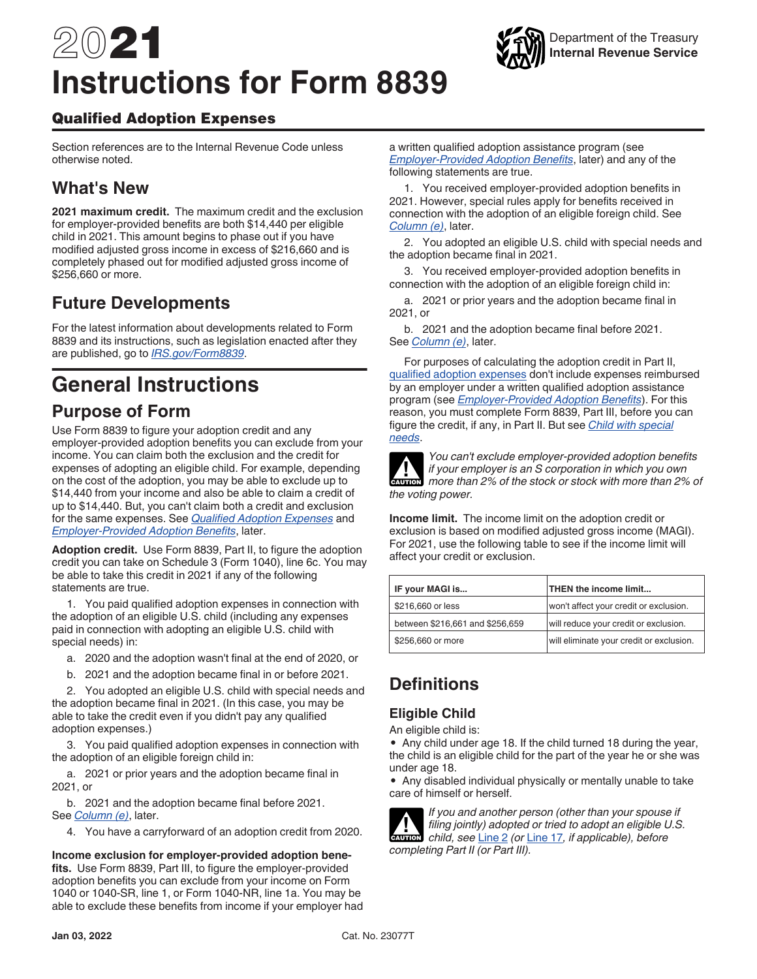# 2021 **Instructions for Form 8839**

#### Qualified Adoption Expenses

Section references are to the Internal Revenue Code unless otherwise noted.

# **What's New**

**2021 maximum credit.** The maximum credit and the exclusion for employer-provided benefits are both \$14,440 per eligible child in 2021. This amount begins to phase out if you have modified adjusted gross income in excess of \$216,660 and is completely phased out for modified adjusted gross income of \$256,660 or more.

# **Future Developments**

For the latest information about developments related to Form 8839 and its instructions, such as legislation enacted after they are published, go to *[IRS.gov/Form8839](https://www.irs.gov/form8839)*.

# **General Instructions**

### **Purpose of Form**

Use Form 8839 to figure your adoption credit and any employer-provided adoption benefits you can exclude from your income. You can claim both the exclusion and the credit for expenses of adopting an eligible child. For example, depending on the cost of the adoption, you may be able to exclude up to \$14,440 from your income and also be able to claim a credit of up to \$14,440. But, you can't claim both a credit and exclusion for the same expenses. See *Qualified Adoption Expenses* and *Employer-Provided Adoption Benefits*, later.

**Adoption credit.** Use Form 8839, Part II, to figure the adoption credit you can take on Schedule 3 (Form 1040), line 6c. You may be able to take this credit in 2021 if any of the following statements are true.

1. You paid qualified adoption expenses in connection with the adoption of an eligible U.S. child (including any expenses paid in connection with adopting an eligible U.S. child with special needs) in:

- a. 2020 and the adoption wasn't final at the end of 2020, or
- b. 2021 and the adoption became final in or before 2021.

2. You adopted an eligible U.S. child with special needs and the adoption became final in 2021. (In this case, you may be able to take the credit even if you didn't pay any qualified adoption expenses.)

3. You paid qualified adoption expenses in connection with the adoption of an eligible foreign child in:

a. 2021 or prior years and the adoption became final in 2021, or

b. 2021 and the adoption became final before 2021. See *Column (e)*, later.

4. You have a carryforward of an adoption credit from 2020.

**Income exclusion for employer-provided adoption benefits.** Use Form 8839, Part III, to figure the employer-provided adoption benefits you can exclude from your income on Form 1040 or 1040-SR, line 1, or Form 1040-NR, line 1a. You may be able to exclude these benefits from income if your employer had a written qualified adoption assistance program (see *Employer-Provided Adoption Benefits*, later) and any of the following statements are true.

Department of the Treasury **Internal Revenue Service**

1. You received employer-provided adoption benefits in 2021. However, special rules apply for benefits received in connection with the adoption of an eligible foreign child. See *Column (e)*, later.

2. You adopted an eligible U.S. child with special needs and the adoption became final in 2021.

3. You received employer-provided adoption benefits in connection with the adoption of an eligible foreign child in:

a. 2021 or prior years and the adoption became final in 2021, or

b. 2021 and the adoption became final before 2021. See *Column (e)*, later.

For purposes of calculating the adoption credit in Part II, qualified adoption expenses don't include expenses reimbursed by an employer under a written qualified adoption assistance program (see *Employer-Provided Adoption Benefits*). For this reason, you must complete Form 8839, Part III, before you can figure the credit, if any, in Part II. But see *Child with special needs*.



*You can't exclude employer-provided adoption benefits if your employer is an S corporation in which you own more than 2% of the stock or stock with more than 2% of the voting power.* **CAUTION**

**Income limit.** The income limit on the adoption credit or exclusion is based on modified adjusted gross income (MAGI). For 2021, use the following table to see if the income limit will affect your credit or exclusion.

| IF your MAGI is                 | THEN the income limit                    |
|---------------------------------|------------------------------------------|
| \$216,660 or less               | won't affect your credit or exclusion.   |
| between \$216,661 and \$256,659 | will reduce your credit or exclusion.    |
| \$256,660 or more               | will eliminate your credit or exclusion. |

# **Definitions**

#### **Eligible Child**

An eligible child is:

• Any child under age 18. If the child turned 18 during the year, the child is an eligible child for the part of the year he or she was under age 18.

• Any disabled individual physically or mentally unable to take care of himself or herself.



*If you and another person (other than your spouse if filing jointly) adopted or tried to adopt an eligible U.S.*  **caution** *child, see Line 2 (or Line 17, if applicable), before completing Part II (or Part III).*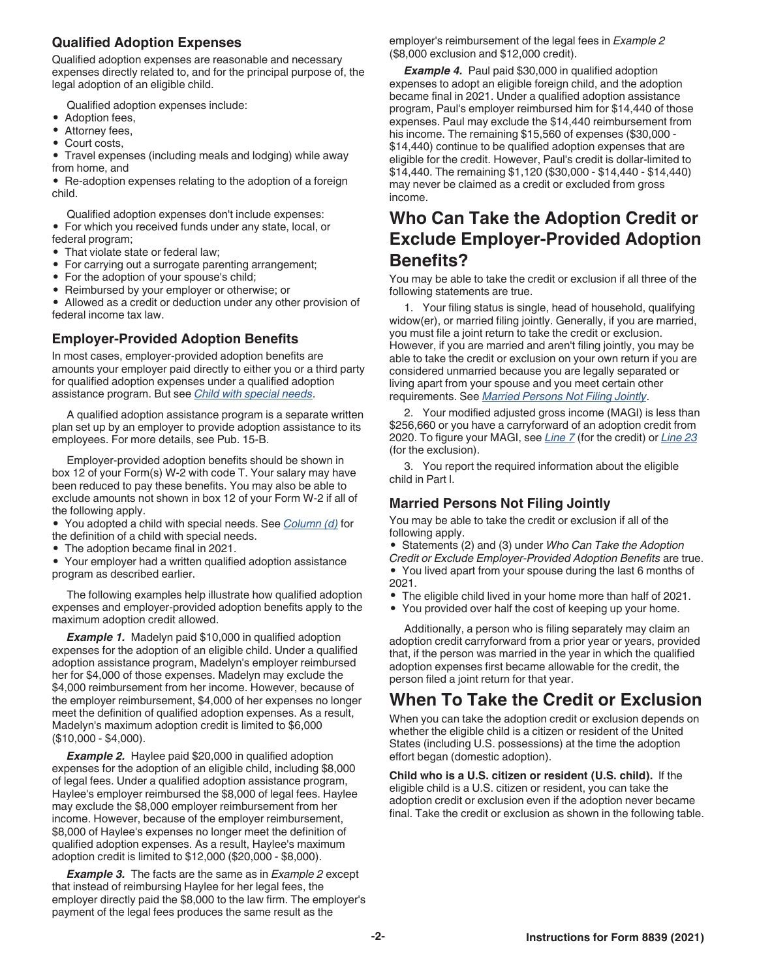#### **Qualified Adoption Expenses**

Qualified adoption expenses are reasonable and necessary expenses directly related to, and for the principal purpose of, the legal adoption of an eligible child.

Qualified adoption expenses include:

- Adoption fees,
- Attorney fees,
- Court costs,

• Travel expenses (including meals and lodging) while away from home, and

• Re-adoption expenses relating to the adoption of a foreign child.

Qualified adoption expenses don't include expenses: • For which you received funds under any state, local, or federal program;

- That violate state or federal law;
- For carrying out a surrogate parenting arrangement;
- For the adoption of your spouse's child;
- Reimbursed by your employer or otherwise; or

• Allowed as a credit or deduction under any other provision of federal income tax law.

#### **Employer-Provided Adoption Benefits**

In most cases, employer-provided adoption benefits are amounts your employer paid directly to either you or a third party for qualified adoption expenses under a qualified adoption assistance program. But see *Child with special needs*.

A qualified adoption assistance program is a separate written plan set up by an employer to provide adoption assistance to its employees. For more details, see Pub. 15-B.

Employer-provided adoption benefits should be shown in box 12 of your Form(s) W-2 with code T. Your salary may have been reduced to pay these benefits. You may also be able to exclude amounts not shown in box 12 of your Form W-2 if all of the following apply.

• You adopted a child with special needs. See *Column (d)* for the definition of a child with special needs.

• The adoption became final in 2021.

• Your employer had a written qualified adoption assistance program as described earlier.

The following examples help illustrate how qualified adoption expenses and employer-provided adoption benefits apply to the maximum adoption credit allowed.

**Example 1.** Madelyn paid \$10,000 in qualified adoption expenses for the adoption of an eligible child. Under a qualified adoption assistance program, Madelyn's employer reimbursed her for \$4,000 of those expenses. Madelyn may exclude the \$4,000 reimbursement from her income. However, because of the employer reimbursement, \$4,000 of her expenses no longer meet the definition of qualified adoption expenses. As a result, Madelyn's maximum adoption credit is limited to \$6,000 (\$10,000 - \$4,000).

**Example 2.** Haylee paid \$20,000 in qualified adoption expenses for the adoption of an eligible child, including \$8,000 of legal fees. Under a qualified adoption assistance program, Haylee's employer reimbursed the \$8,000 of legal fees. Haylee may exclude the \$8,000 employer reimbursement from her income. However, because of the employer reimbursement, \$8,000 of Haylee's expenses no longer meet the definition of qualified adoption expenses. As a result, Haylee's maximum adoption credit is limited to \$12,000 (\$20,000 - \$8,000).

*Example 3.* The facts are the same as in *Example 2* except that instead of reimbursing Haylee for her legal fees, the employer directly paid the \$8,000 to the law firm. The employer's payment of the legal fees produces the same result as the

employer's reimbursement of the legal fees in *Example 2*  (\$8,000 exclusion and \$12,000 credit).

**Example 4.** Paul paid \$30,000 in qualified adoption expenses to adopt an eligible foreign child, and the adoption became final in 2021. Under a qualified adoption assistance program, Paul's employer reimbursed him for \$14,440 of those expenses. Paul may exclude the \$14,440 reimbursement from his income. The remaining \$15,560 of expenses (\$30,000 - \$14,440) continue to be qualified adoption expenses that are eligible for the credit. However, Paul's credit is dollar-limited to \$14,440. The remaining \$1,120 (\$30,000 - \$14,440 - \$14,440) may never be claimed as a credit or excluded from gross income.

# **Who Can Take the Adoption Credit or Exclude Employer-Provided Adoption Benefits?**

You may be able to take the credit or exclusion if all three of the following statements are true.

1. Your filing status is single, head of household, qualifying widow(er), or married filing jointly. Generally, if you are married, you must file a joint return to take the credit or exclusion. However, if you are married and aren't filing jointly, you may be able to take the credit or exclusion on your own return if you are considered unmarried because you are legally separated or living apart from your spouse and you meet certain other requirements. See *Married Persons Not Filing Jointly*.

2. Your modified adjusted gross income (MAGI) is less than \$256,660 or you have a carryforward of an adoption credit from 2020. To figure your MAGI, see *Line 7* (for the credit) or *Line 23*  (for the exclusion).

3. You report the required information about the eligible child in Part l.

#### **Married Persons Not Filing Jointly**

You may be able to take the credit or exclusion if all of the following apply.

• Statements (2) and (3) under *Who Can Take the Adoption Credit or Exclude Employer-Provided Adoption Benefits* are true. • You lived apart from your spouse during the last 6 months of 2021.

- The eligible child lived in your home more than half of 2021.
- You provided over half the cost of keeping up your home.

Additionally, a person who is filing separately may claim an adoption credit carryforward from a prior year or years, provided that, if the person was married in the year in which the qualified adoption expenses first became allowable for the credit, the person filed a joint return for that year.

## **When To Take the Credit or Exclusion**

When you can take the adoption credit or exclusion depends on whether the eligible child is a citizen or resident of the United States (including U.S. possessions) at the time the adoption effort began (domestic adoption).

**Child who is a U.S. citizen or resident (U.S. child).** If the eligible child is a U.S. citizen or resident, you can take the adoption credit or exclusion even if the adoption never became final. Take the credit or exclusion as shown in the following table.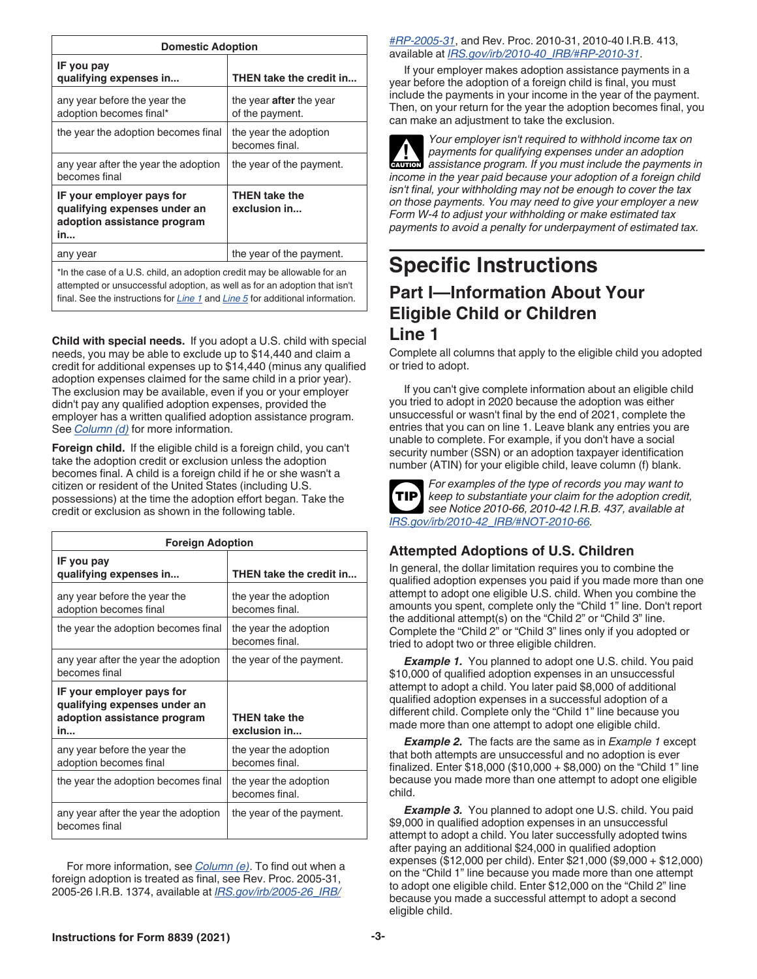| <b>Domestic Adoption</b>                                                                                                                                                                                                               |                                                   |  |  |  |  |
|----------------------------------------------------------------------------------------------------------------------------------------------------------------------------------------------------------------------------------------|---------------------------------------------------|--|--|--|--|
| IF you pay<br>qualifying expenses in                                                                                                                                                                                                   | THEN take the credit in                           |  |  |  |  |
| any year before the year the<br>adoption becomes final*                                                                                                                                                                                | the year <b>after</b> the year<br>of the payment. |  |  |  |  |
| the year the adoption becomes final                                                                                                                                                                                                    | the year the adoption<br>becomes final.           |  |  |  |  |
| any year after the year the adoption<br>becomes final                                                                                                                                                                                  | the year of the payment.                          |  |  |  |  |
| IF your employer pays for<br>qualifying expenses under an<br>adoption assistance program<br>in                                                                                                                                         | <b>THEN take the</b><br>exclusion in              |  |  |  |  |
| any year                                                                                                                                                                                                                               | the year of the payment.                          |  |  |  |  |
| *In the case of a U.S. child, an adoption credit may be allowable for an<br>attempted or unsuccessful adoption, as well as for an adoption that isn't<br>final. See the instructions for Line 1 and Line 5 for additional information. |                                                   |  |  |  |  |

**Child with special needs.** If you adopt a U.S. child with special needs, you may be able to exclude up to \$14,440 and claim a credit for additional expenses up to \$14,440 (minus any qualified adoption expenses claimed for the same child in a prior year). The exclusion may be available, even if you or your employer didn't pay any qualified adoption expenses, provided the employer has a written qualified adoption assistance program. See *Column (d)* for more information.

**Foreign child.** If the eligible child is a foreign child, you can't take the adoption credit or exclusion unless the adoption becomes final. A child is a foreign child if he or she wasn't a citizen or resident of the United States (including U.S. possessions) at the time the adoption effort began. Take the credit or exclusion as shown in the following table.

| <b>Foreign Adoption</b>                                                                        |                                         |  |  |  |  |
|------------------------------------------------------------------------------------------------|-----------------------------------------|--|--|--|--|
| IF you pay<br>qualifying expenses in                                                           | THEN take the credit in                 |  |  |  |  |
| any year before the year the<br>adoption becomes final                                         | the year the adoption<br>becomes final. |  |  |  |  |
| the year the adoption becomes final                                                            | the year the adoption<br>becomes final. |  |  |  |  |
| any year after the year the adoption<br>becomes final                                          | the year of the payment.                |  |  |  |  |
| IF your employer pays for<br>qualifying expenses under an<br>adoption assistance program<br>in | THEN take the<br>exclusion in           |  |  |  |  |
| any year before the year the<br>adoption becomes final                                         | the year the adoption<br>becomes final. |  |  |  |  |
| the year the adoption becomes final                                                            | the year the adoption<br>becomes final. |  |  |  |  |
| any year after the year the adoption<br>becomes final                                          | the year of the payment.                |  |  |  |  |

For more information, see *Column (e)*. To find out when a foreign adoption is treated as final, see Rev. Proc. 2005-31, 2005-26 I.R.B. 1374, available at *[IRS.gov/irb/2005-26\\_IRB/](https://www.irs.gov/irb/2005-26_IRB/#RP-2005-31)*

*[#RP-2005-31](https://www.irs.gov/irb/2005-26_IRB/#RP-2005-31)*, and Rev. Proc. 2010-31, 2010-40 I.R.B. 413, available at *[IRS.gov/irb/2010-40\\_IRB/#RP-2010-31](https://www.irs.gov/irb/2010-40_IRB/#RP-2010-31)*.

If your employer makes adoption assistance payments in a year before the adoption of a foreign child is final, you must include the payments in your income in the year of the payment. Then, on your return for the year the adoption becomes final, you can make an adjustment to take the exclusion.

*Your employer isn't required to withhold income tax on payments for qualifying expenses under an adoption assistance program. If you must include the payments in income in the year paid because your adoption of a foreign child isn't final, your withholding may not be enough to cover the tax on those payments. You may need to give your employer a new Form W-4 to adjust your withholding or make estimated tax payments to avoid a penalty for underpayment of estimated tax.* **CAUTION !**

# **Specific Instructions Part I—Information About Your Eligible Child or Children Line 1**

Complete all columns that apply to the eligible child you adopted or tried to adopt.

If you can't give complete information about an eligible child you tried to adopt in 2020 because the adoption was either unsuccessful or wasn't final by the end of 2021, complete the entries that you can on line 1. Leave blank any entries you are unable to complete. For example, if you don't have a social security number (SSN) or an adoption taxpayer identification number (ATIN) for your eligible child, leave column (f) blank.



*For examples of the type of records you may want to keep to substantiate your claim for the adoption credit, see Notice 2010-66, 2010-42 I.R.B. 437, available at [IRS.gov/irb/2010-42\\_IRB/#NOT-2010-66](https://www.irs.gov/irb/2010-42_IRB/#NOT-2010-66).*

#### **Attempted Adoptions of U.S. Children**

In general, the dollar limitation requires you to combine the qualified adoption expenses you paid if you made more than one attempt to adopt one eligible U.S. child. When you combine the amounts you spent, complete only the "Child 1" line. Don't report the additional attempt(s) on the "Child 2" or "Child 3" line. Complete the "Child 2" or "Child 3" lines only if you adopted or tried to adopt two or three eligible children.

**Example 1.** You planned to adopt one U.S. child. You paid \$10,000 of qualified adoption expenses in an unsuccessful attempt to adopt a child. You later paid \$8,000 of additional qualified adoption expenses in a successful adoption of a different child. Complete only the "Child 1" line because you made more than one attempt to adopt one eligible child.

*Example 2.* The facts are the same as in *Example 1* except that both attempts are unsuccessful and no adoption is ever finalized. Enter \$18,000 (\$10,000 + \$8,000) on the "Child 1" line because you made more than one attempt to adopt one eligible child.

**Example 3.** You planned to adopt one U.S. child. You paid \$9,000 in qualified adoption expenses in an unsuccessful attempt to adopt a child. You later successfully adopted twins after paying an additional \$24,000 in qualified adoption expenses (\$12,000 per child). Enter \$21,000 (\$9,000 + \$12,000) on the "Child 1" line because you made more than one attempt to adopt one eligible child. Enter \$12,000 on the "Child 2" line because you made a successful attempt to adopt a second eligible child.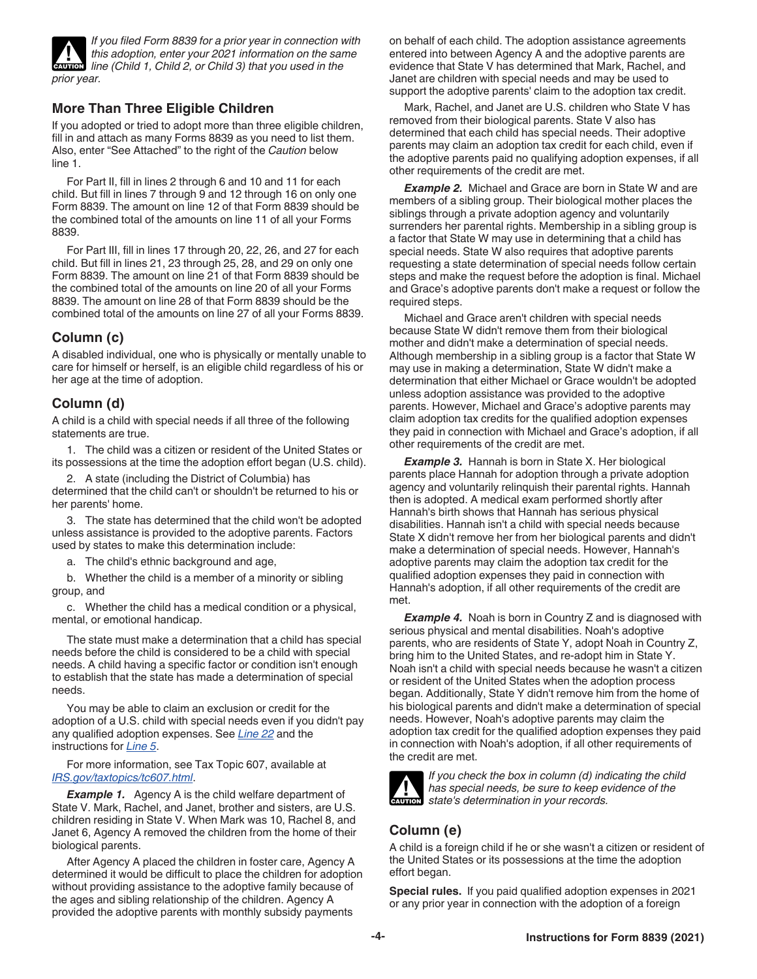

*If you filed Form 8839 for a prior year in connection with this adoption, enter your 2021 information on the same*  **line (Child 1, Child 2, or Child 3) that you used in the sant film (Child 1, Child 2, or Child 3) that you used in the** *prior year.*

#### **More Than Three Eligible Children**

If you adopted or tried to adopt more than three eligible children, fill in and attach as many Forms 8839 as you need to list them. Also, enter "See Attached" to the right of the *Caution* below line 1.

For Part II, fill in lines 2 through 6 and 10 and 11 for each child. But fill in lines 7 through 9 and 12 through 16 on only one Form 8839. The amount on line 12 of that Form 8839 should be the combined total of the amounts on line 11 of all your Forms 8839.

For Part III, fill in lines 17 through 20, 22, 26, and 27 for each child. But fill in lines 21, 23 through 25, 28, and 29 on only one Form 8839. The amount on line 21 of that Form 8839 should be the combined total of the amounts on line 20 of all your Forms 8839. The amount on line 28 of that Form 8839 should be the combined total of the amounts on line 27 of all your Forms 8839.

#### **Column (c)**

A disabled individual, one who is physically or mentally unable to care for himself or herself, is an eligible child regardless of his or her age at the time of adoption.

#### **Column (d)**

A child is a child with special needs if all three of the following statements are true.

1. The child was a citizen or resident of the United States or its possessions at the time the adoption effort began (U.S. child).

2. A state (including the District of Columbia) has determined that the child can't or shouldn't be returned to his or her parents' home.

3. The state has determined that the child won't be adopted unless assistance is provided to the adoptive parents. Factors used by states to make this determination include:

a. The child's ethnic background and age,

b. Whether the child is a member of a minority or sibling group, and

c. Whether the child has a medical condition or a physical, mental, or emotional handicap.

The state must make a determination that a child has special needs before the child is considered to be a child with special needs. A child having a specific factor or condition isn't enough to establish that the state has made a determination of special needs.

You may be able to claim an exclusion or credit for the adoption of a U.S. child with special needs even if you didn't pay any qualified adoption expenses. See *Line 22* and the instructions for *Line 5*.

For more information, see Tax Topic 607, available at *[IRS.gov/taxtopics/tc607.html](https://www.irs.gov/taxtopics/tc607.html)*.

**Example 1.** Agency A is the child welfare department of State V. Mark, Rachel, and Janet, brother and sisters, are U.S. children residing in State V. When Mark was 10, Rachel 8, and Janet 6, Agency A removed the children from the home of their biological parents.

After Agency A placed the children in foster care, Agency A determined it would be difficult to place the children for adoption without providing assistance to the adoptive family because of the ages and sibling relationship of the children. Agency A provided the adoptive parents with monthly subsidy payments

on behalf of each child. The adoption assistance agreements entered into between Agency A and the adoptive parents are evidence that State V has determined that Mark, Rachel, and Janet are children with special needs and may be used to support the adoptive parents' claim to the adoption tax credit.

Mark, Rachel, and Janet are U.S. children who State V has removed from their biological parents. State V also has determined that each child has special needs. Their adoptive parents may claim an adoption tax credit for each child, even if the adoptive parents paid no qualifying adoption expenses, if all other requirements of the credit are met.

**Example 2.** Michael and Grace are born in State W and are members of a sibling group. Their biological mother places the siblings through a private adoption agency and voluntarily surrenders her parental rights. Membership in a sibling group is a factor that State W may use in determining that a child has special needs. State W also requires that adoptive parents requesting a state determination of special needs follow certain steps and make the request before the adoption is final. Michael and Grace's adoptive parents don't make a request or follow the required steps.

Michael and Grace aren't children with special needs because State W didn't remove them from their biological mother and didn't make a determination of special needs. Although membership in a sibling group is a factor that State W may use in making a determination, State W didn't make a determination that either Michael or Grace wouldn't be adopted unless adoption assistance was provided to the adoptive parents. However, Michael and Grace's adoptive parents may claim adoption tax credits for the qualified adoption expenses they paid in connection with Michael and Grace's adoption, if all other requirements of the credit are met.

**Example 3.** Hannah is born in State X. Her biological parents place Hannah for adoption through a private adoption agency and voluntarily relinquish their parental rights. Hannah then is adopted. A medical exam performed shortly after Hannah's birth shows that Hannah has serious physical disabilities. Hannah isn't a child with special needs because State X didn't remove her from her biological parents and didn't make a determination of special needs. However, Hannah's adoptive parents may claim the adoption tax credit for the qualified adoption expenses they paid in connection with Hannah's adoption, if all other requirements of the credit are met.

**Example 4.** Noah is born in Country Z and is diagnosed with serious physical and mental disabilities. Noah's adoptive parents, who are residents of State Y, adopt Noah in Country Z, bring him to the United States, and re-adopt him in State Y. Noah isn't a child with special needs because he wasn't a citizen or resident of the United States when the adoption process began. Additionally, State Y didn't remove him from the home of his biological parents and didn't make a determination of special needs. However, Noah's adoptive parents may claim the adoption tax credit for the qualified adoption expenses they paid in connection with Noah's adoption, if all other requirements of the credit are met.



*If you check the box in column (d) indicating the child has special needs, be sure to keep evidence of the*  **has special needs, be sure to keep e**<br>
state's determination in your records.

#### **Column (e)**

A child is a foreign child if he or she wasn't a citizen or resident of the United States or its possessions at the time the adoption effort began.

**Special rules.** If you paid qualified adoption expenses in 2021 or any prior year in connection with the adoption of a foreign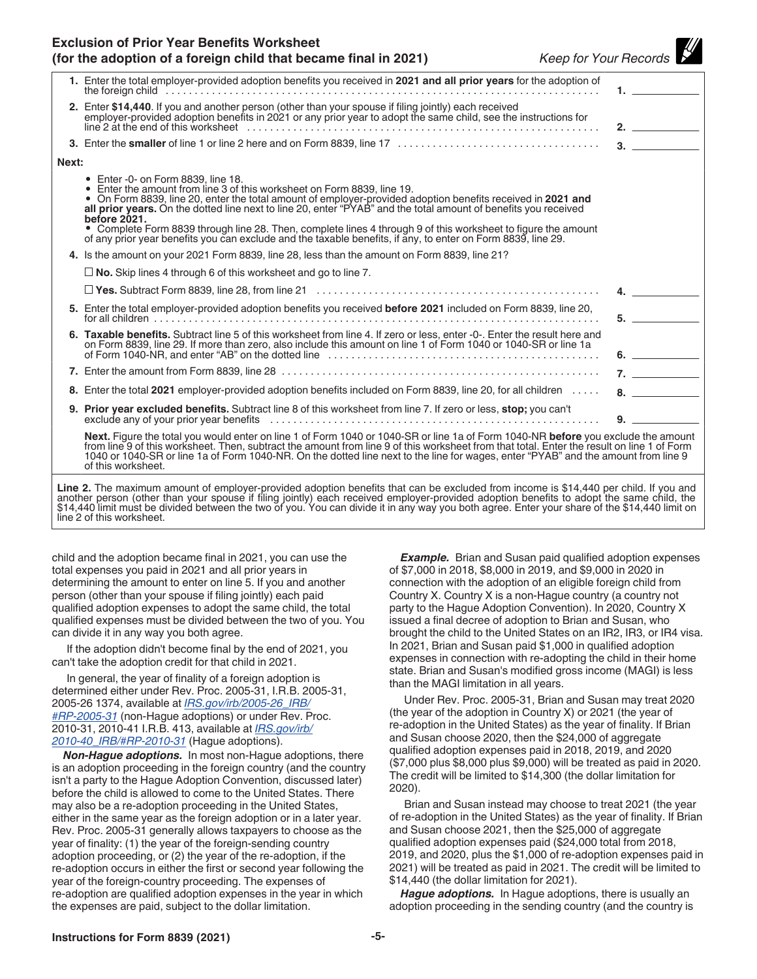#### **Exclusion of Prior Year Benefits Worksheet (for the adoption of a foreign child that became final in 2021)** *Keep for Your Records*

|       | 1. Enter the total employer-provided adoption benefits you received in 2021 and all prior years for the adoption of                                                                                                                                                                                                                                                                                                                                                                                                                                                                              |                                 |
|-------|--------------------------------------------------------------------------------------------------------------------------------------------------------------------------------------------------------------------------------------------------------------------------------------------------------------------------------------------------------------------------------------------------------------------------------------------------------------------------------------------------------------------------------------------------------------------------------------------------|---------------------------------|
|       | 2. Enter \$14,440. If you and another person (other than your spouse if filing jointly) each received<br>employer-provided adoption benefits in 2021 or any prior year to adopt the same child, see the instructions for                                                                                                                                                                                                                                                                                                                                                                         | 2.                              |
|       |                                                                                                                                                                                                                                                                                                                                                                                                                                                                                                                                                                                                  | 3.                              |
| Next: |                                                                                                                                                                                                                                                                                                                                                                                                                                                                                                                                                                                                  |                                 |
|       | • Enter -0- on Form 8839, line 18.<br>• Enter the amount from line 3 of this worksheet on Form 8839, line 19.<br>. On Form 8839, line 20, enter the total amount of employer-provided adoption benefits received in 2021 and<br>all prior years. On the dotted line next to line 20, enter "PYAB" and the total amount of benefits you received<br>before 2021.<br>• Complete Form 8839 through line 28. Then, complete lines 4 through 9 of this worksheet to figure the amount<br>of any prior year benefits you can exclude and the taxable benefits, if any, to enter on Form 8839, line 29. |                                 |
|       | 4. Is the amount on your 2021 Form 8839, line 28, less than the amount on Form 8839, line 21?                                                                                                                                                                                                                                                                                                                                                                                                                                                                                                    |                                 |
|       | $\Box$ No. Skip lines 4 through 6 of this worksheet and go to line 7.                                                                                                                                                                                                                                                                                                                                                                                                                                                                                                                            |                                 |
|       |                                                                                                                                                                                                                                                                                                                                                                                                                                                                                                                                                                                                  | $\overline{4}$ .                |
|       | 5. Enter the total employer-provided adoption benefits you received before 2021 included on Form 8839, line 20,                                                                                                                                                                                                                                                                                                                                                                                                                                                                                  | $5.$ $\overline{\phantom{277}}$ |
|       | 6. Taxable benefits. Subtract line 5 of this worksheet from line 4. If zero or less, enter -0-. Enter the result here and<br>on Form 8839, line 29. If more than zero, also include this amount on line 1 of Form 1040 or 1040-SR or line 1a                                                                                                                                                                                                                                                                                                                                                     | 6.                              |
|       |                                                                                                                                                                                                                                                                                                                                                                                                                                                                                                                                                                                                  | 7.                              |
|       | 8. Enter the total 2021 employer-provided adoption benefits included on Form 8839, line 20, for all children                                                                                                                                                                                                                                                                                                                                                                                                                                                                                     |                                 |
|       | 9. Prior year excluded benefits. Subtract line 8 of this worksheet from line 7. If zero or less, stop; you can't                                                                                                                                                                                                                                                                                                                                                                                                                                                                                 |                                 |
|       | Next. Figure the total you would enter on line 1 of Form 1040 or 1040-SR or line 1a of Form 1040-NR before you exclude the amount<br>from line 9 of this worksheet. Then, subtract the amount from line 9 of this worksheet from that total. Enter the result on line 1 of Form<br>1040 or 1040-SR or line 1a of Form 1040-NR. On the dotted line next to the line for wages, enter "PYAB" and the amount from line 9<br>of this worksheet.                                                                                                                                                      |                                 |
|       | Line 2. The maximum amount of employer-provided adoption benefits that can be excluded from income is \$14,440 per child. If you and<br>another person (other than your spouse if filing jointly) each received employer-provided adoption benefits to adopt the same child, the \$14,440 limit must be divided between the two of you. You can divide it in any way yo<br>line 2 of this worksheet.                                                                                                                                                                                             |                                 |

child and the adoption became final in 2021, you can use the total expenses you paid in 2021 and all prior years in determining the amount to enter on line 5. If you and another person (other than your spouse if filing jointly) each paid qualified adoption expenses to adopt the same child, the total qualified expenses must be divided between the two of you. You can divide it in any way you both agree.

If the adoption didn't become final by the end of 2021, you can't take the adoption credit for that child in 2021.

In general, the year of finality of a foreign adoption is determined either under Rev. Proc. 2005-31, I.R.B. 2005-31, 2005-26 1374, available at *[IRS.gov/irb/2005-26\\_IRB/](https://www.irs.gov/irb/2005-26_IRB/#RP-2005-31) [#RP-2005-31](https://www.irs.gov/irb/2005-26_IRB/#RP-2005-31)* (non-Hague adoptions) or under Rev. Proc. 2010-31, 2010-41 I.R.B. 413, available at *[IRS.gov/irb/](https://www.irs.gov/irb/2010-40_IRB/#RP-2010-31) [2010-40\\_IRB/#RP-2010-31](https://www.irs.gov/irb/2010-40_IRB/#RP-2010-31)* (Hague adoptions).

*Non-Hague adoptions.* In most non-Hague adoptions, there is an adoption proceeding in the foreign country (and the country isn't a party to the Hague Adoption Convention, discussed later) before the child is allowed to come to the United States. There may also be a re-adoption proceeding in the United States, either in the same year as the foreign adoption or in a later year. Rev. Proc. 2005-31 generally allows taxpayers to choose as the year of finality: (1) the year of the foreign-sending country adoption proceeding, or (2) the year of the re-adoption, if the re-adoption occurs in either the first or second year following the year of the foreign-country proceeding. The expenses of re-adoption are qualified adoption expenses in the year in which the expenses are paid, subject to the dollar limitation.

*Example.* Brian and Susan paid qualified adoption expenses of \$7,000 in 2018, \$8,000 in 2019, and \$9,000 in 2020 in connection with the adoption of an eligible foreign child from Country X. Country X is a non-Hague country (a country not party to the Hague Adoption Convention). In 2020, Country X issued a final decree of adoption to Brian and Susan, who brought the child to the United States on an IR2, IR3, or IR4 visa. In 2021, Brian and Susan paid \$1,000 in qualified adoption expenses in connection with re-adopting the child in their home state. Brian and Susan's modified gross income (MAGI) is less than the MAGI limitation in all years.

Under Rev. Proc. 2005-31, Brian and Susan may treat 2020 (the year of the adoption in Country X) or 2021 (the year of re-adoption in the United States) as the year of finality. If Brian and Susan choose 2020, then the \$24,000 of aggregate qualified adoption expenses paid in 2018, 2019, and 2020 (\$7,000 plus \$8,000 plus \$9,000) will be treated as paid in 2020. The credit will be limited to \$14,300 (the dollar limitation for 2020).

Brian and Susan instead may choose to treat 2021 (the year of re-adoption in the United States) as the year of finality. If Brian and Susan choose 2021, then the \$25,000 of aggregate qualified adoption expenses paid (\$24,000 total from 2018, 2019, and 2020, plus the \$1,000 of re-adoption expenses paid in 2021) will be treated as paid in 2021. The credit will be limited to \$14,440 (the dollar limitation for 2021).

*Hague adoptions.* In Hague adoptions, there is usually an adoption proceeding in the sending country (and the country is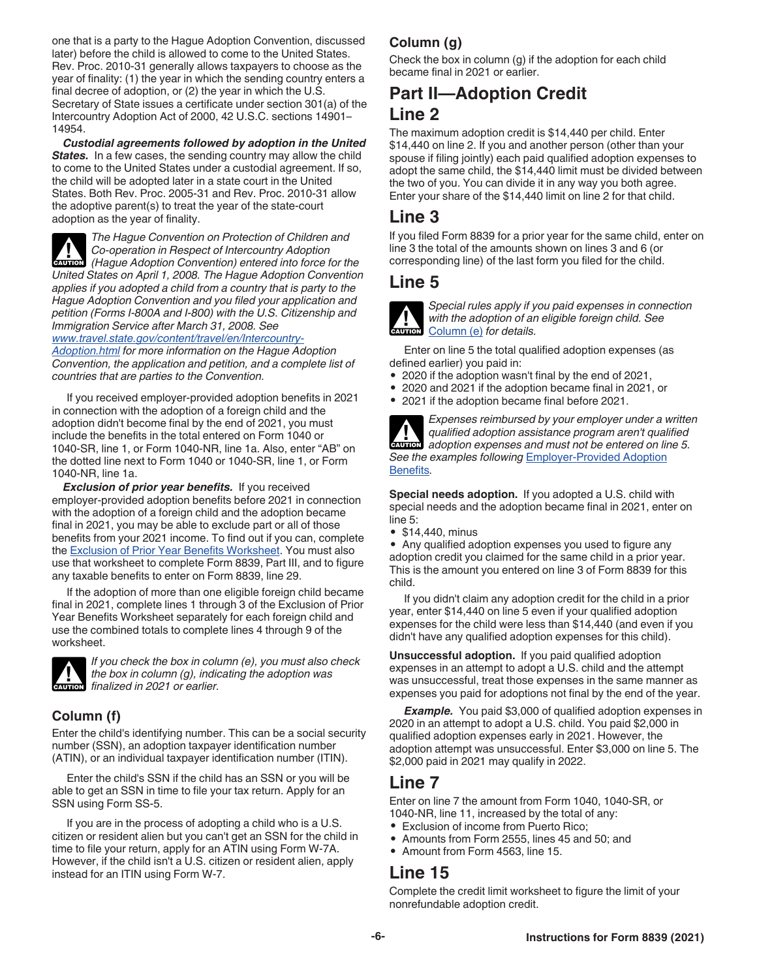one that is a party to the Hague Adoption Convention, discussed later) before the child is allowed to come to the United States. Rev. Proc. 2010-31 generally allows taxpayers to choose as the year of finality: (1) the year in which the sending country enters a final decree of adoption, or (2) the year in which the U.S. Secretary of State issues a certificate under section 301(a) of the Intercountry Adoption Act of 2000, 42 U.S.C. sections 14901– 14954.

*Custodial agreements followed by adoption in the United*  **States.** In a few cases, the sending country may allow the child to come to the United States under a custodial agreement. If so, the child will be adopted later in a state court in the United States. Both Rev. Proc. 2005-31 and Rev. Proc. 2010-31 allow the adoptive parent(s) to treat the year of the state-court adoption as the year of finality.

*The Hague Convention on Protection of Children and Co-operation in Respect of Intercountry Adoption*  **(Fague Adoption Convention) entered into force for the** *caution* **(Hague Adoption Convention) entered into force for the** *United States on April 1, 2008. The Hague Adoption Convention applies if you adopted a child from a country that is party to the Hague Adoption Convention and you filed your application and petition (Forms I-800A and I-800) with the U.S. Citizenship and Immigration Service after March 31, 2008. See* 

*[www.travel.state.gov/content/travel/en/Intercountry-](https://www.travel.state.gov/content/travel/en/Intercountry-Adoption.html)[Adoption.html](https://www.travel.state.gov/content/travel/en/Intercountry-Adoption.html) for more information on the Hague Adoption Convention, the application and petition, and a complete list of countries that are parties to the Convention.*

If you received employer-provided adoption benefits in 2021 in connection with the adoption of a foreign child and the adoption didn't become final by the end of 2021, you must include the benefits in the total entered on Form 1040 or 1040-SR, line 1, or Form 1040-NR, line 1a. Also, enter "AB" on the dotted line next to Form 1040 or 1040-SR, line 1, or Form 1040-NR, line 1a.

*Exclusion of prior year benefits.* If you received employer-provided adoption benefits before 2021 in connection with the adoption of a foreign child and the adoption became final in 2021, you may be able to exclude part or all of those benefits from your 2021 income. To find out if you can, complete the Exclusion of Prior Year Benefits Worksheet. You must also use that worksheet to complete Form 8839, Part III, and to figure any taxable benefits to enter on Form 8839, line 29.

If the adoption of more than one eligible foreign child became final in 2021, complete lines 1 through 3 of the Exclusion of Prior Year Benefits Worksheet separately for each foreign child and use the combined totals to complete lines 4 through 9 of the worksheet.



*If you check the box in column (e), you must also check the box in column (g), indicating the adoption was finalized in 2021 or earlier.* 

## **Column (f)**

Enter the child's identifying number. This can be a social security number (SSN), an adoption taxpayer identification number (ATIN), or an individual taxpayer identification number (ITIN).

Enter the child's SSN if the child has an SSN or you will be able to get an SSN in time to file your tax return. Apply for an SSN using Form SS-5.

If you are in the process of adopting a child who is a U.S. citizen or resident alien but you can't get an SSN for the child in time to file your return, apply for an ATIN using Form W-7A. However, if the child isn't a U.S. citizen or resident alien, apply instead for an ITIN using Form W-7.

# **Column (g)**

Check the box in column (g) if the adoption for each child became final in 2021 or earlier.

# **Part II—Adoption Credit Line 2**

The maximum adoption credit is \$14,440 per child. Enter \$14,440 on line 2. If you and another person (other than your spouse if filing jointly) each paid qualified adoption expenses to adopt the same child, the \$14,440 limit must be divided between the two of you. You can divide it in any way you both agree. Enter your share of the \$14,440 limit on line 2 for that child.

# **Line 3**

If you filed Form 8839 for a prior year for the same child, enter on line 3 the total of the amounts shown on lines 3 and 6 (or corresponding line) of the last form you filed for the child.

# **Line 5**



*Special rules apply if you paid expenses in connection with the adoption of an eligible foreign child. See*  Column (e) *for details.*

Enter on line 5 the total qualified adoption expenses (as defined earlier) you paid in:

- 2020 if the adoption wasn't final by the end of 2021,
- 2020 and 2021 if the adoption became final in 2021, or
- 2021 if the adoption became final before 2021.



*Expenses reimbursed by your employer under a written qualified adoption assistance program aren't qualified adoption expenses and must not be entered on line 5. See the examples following* Employer-Provided Adoption Benefits*.*

**Special needs adoption.** If you adopted a U.S. child with special needs and the adoption became final in 2021, enter on line 5:

• \$14,440, minus

• Any qualified adoption expenses you used to figure any adoption credit you claimed for the same child in a prior year. This is the amount you entered on line 3 of Form 8839 for this child.

If you didn't claim any adoption credit for the child in a prior year, enter \$14,440 on line 5 even if your qualified adoption expenses for the child were less than \$14,440 (and even if you didn't have any qualified adoption expenses for this child).

**Unsuccessful adoption.** If you paid qualified adoption expenses in an attempt to adopt a U.S. child and the attempt was unsuccessful, treat those expenses in the same manner as expenses you paid for adoptions not final by the end of the year.

**Example.** You paid \$3,000 of qualified adoption expenses in 2020 in an attempt to adopt a U.S. child. You paid \$2,000 in qualified adoption expenses early in 2021. However, the adoption attempt was unsuccessful. Enter \$3,000 on line 5. The \$2,000 paid in 2021 may qualify in 2022.

# **Line 7**

Enter on line 7 the amount from Form 1040, 1040-SR, or 1040-NR, line 11, increased by the total of any:

- Exclusion of income from Puerto Rico;
- Amounts from Form 2555, lines 45 and 50; and
- Amount from Form 4563, line 15.

# **Line 15**

Complete the credit limit worksheet to figure the limit of your nonrefundable adoption credit.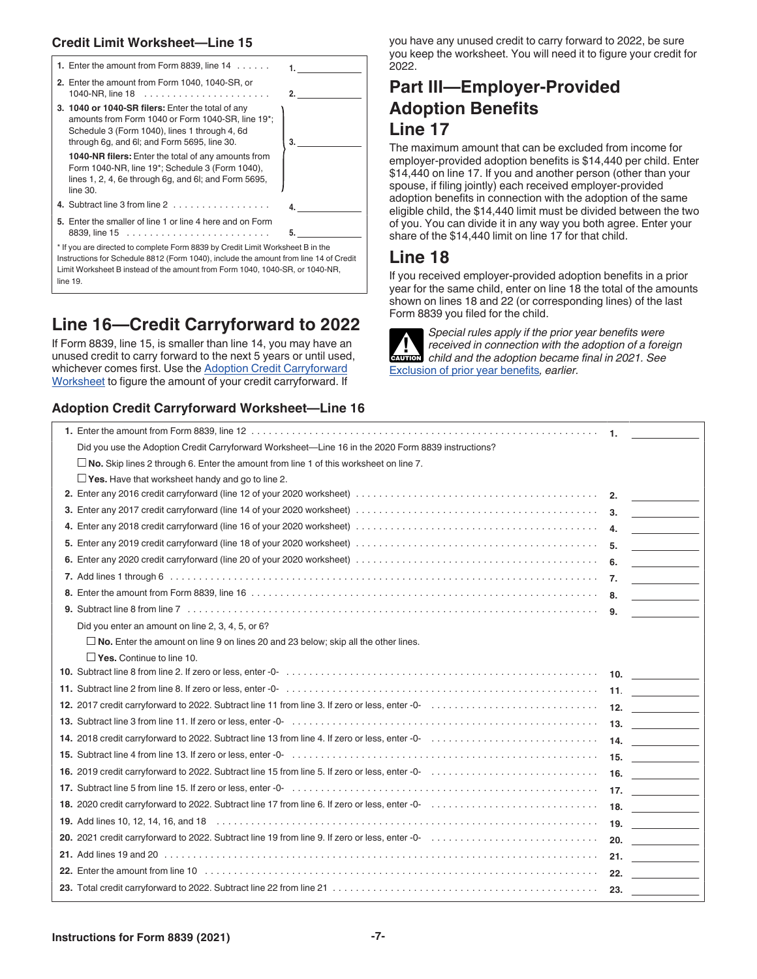#### **Credit Limit Worksheet—Line 15**

| 1. Enter the amount from Form 8839, line $14 \ldots$ .                                                                                                                                                                                                                                                                                                                                      |    |
|---------------------------------------------------------------------------------------------------------------------------------------------------------------------------------------------------------------------------------------------------------------------------------------------------------------------------------------------------------------------------------------------|----|
| 2. Enter the amount from Form 1040, 1040-SR, or<br>1040-NR, line $18$                                                                                                                                                                                                                                                                                                                       | 2. |
| 3. 1040 or 1040-SR filers: Enter the total of any<br>amounts from Form 1040 or Form 1040-SR, line 19*;<br>Schedule 3 (Form 1040), lines 1 through 4, 6d<br>through 6g, and 6l; and Form 5695, line 30.<br><b>1040-NR filers:</b> Enter the total of any amounts from<br>Form 1040-NR, line 19*; Schedule 3 (Form 1040),<br>lines 1, 2, 4, 6e through 6g, and 6l; and Form 5695,<br>line 30. | 3. |
| 4. Subtract line 3 from line 2                                                                                                                                                                                                                                                                                                                                                              | 4. |
| 5. Enter the smaller of line 1 or line 4 here and on Form                                                                                                                                                                                                                                                                                                                                   | 5. |
| * If you are directed to complete Form 8839 by Credit Limit Worksheet B in the<br>Instructions for Schedule 8812 (Form 1040), include the amount from line 14 of Credit<br>Limit Worksheet B instead of the amount from Form 1040, 1040-SR, or 1040-NR,<br>line 19.                                                                                                                         |    |

# **Line 16—Credit Carryforward to 2022**

If Form 8839, line 15, is smaller than line 14, you may have an unused credit to carry forward to the next 5 years or until used, whichever comes first. Use the Adoption Credit Carryforward Worksheet to figure the amount of your credit carryforward. If

#### **Adoption Credit Carryforward Worksheet—Line 16**

you have any unused credit to carry forward to 2022, be sure you keep the worksheet. You will need it to figure your credit for 2022.

# **Part III—Employer-Provided Adoption Benefits Line 17**

The maximum amount that can be excluded from income for employer-provided adoption benefits is \$14,440 per child. Enter \$14,440 on line 17. If you and another person (other than your spouse, if filing jointly) each received employer-provided adoption benefits in connection with the adoption of the same eligible child, the \$14,440 limit must be divided between the two of you. You can divide it in any way you both agree. Enter your share of the \$14,440 limit on line 17 for that child.

# **Line 18**

If you received employer-provided adoption benefits in a prior year for the same child, enter on line 18 the total of the amounts shown on lines 18 and 22 (or corresponding lines) of the last Form 8839 you filed for the child.



*Special rules apply if the prior year benefits were received in connection with the adoption of a foreign child and the adoption became final in 2021. See*  Exclusion of prior year benefits*, earlier.*

| Did you use the Adoption Credit Carryforward Worksheet—Line 16 in the 2020 Form 8839 instructions?                                                                                                                               |    |                     |
|----------------------------------------------------------------------------------------------------------------------------------------------------------------------------------------------------------------------------------|----|---------------------|
| $\Box$ No. Skip lines 2 through 6. Enter the amount from line 1 of this worksheet on line 7.                                                                                                                                     |    |                     |
| $\Box$ Yes. Have that worksheet handy and go to line 2.                                                                                                                                                                          |    |                     |
|                                                                                                                                                                                                                                  | 2. |                     |
|                                                                                                                                                                                                                                  |    | 3. $\qquad \qquad$  |
|                                                                                                                                                                                                                                  |    |                     |
|                                                                                                                                                                                                                                  |    |                     |
|                                                                                                                                                                                                                                  |    | 6. $\qquad \qquad$  |
|                                                                                                                                                                                                                                  |    | 7. $\qquad \qquad$  |
|                                                                                                                                                                                                                                  |    |                     |
|                                                                                                                                                                                                                                  |    |                     |
| Did you enter an amount on line 2, 3, 4, 5, or 6?                                                                                                                                                                                |    |                     |
| $\Box$ No. Enter the amount on line 9 on lines 20 and 23 below; skip all the other lines.                                                                                                                                        |    |                     |
| $\Box$ Yes. Continue to line 10.                                                                                                                                                                                                 |    |                     |
|                                                                                                                                                                                                                                  |    | 10.                 |
|                                                                                                                                                                                                                                  |    | 11. $\qquad \qquad$ |
|                                                                                                                                                                                                                                  |    | 12. $\qquad$        |
|                                                                                                                                                                                                                                  |    | 13. $\qquad \qquad$ |
|                                                                                                                                                                                                                                  |    | 14. $\qquad$        |
|                                                                                                                                                                                                                                  |    | 15. $\qquad$        |
|                                                                                                                                                                                                                                  |    | 16. $\qquad$        |
|                                                                                                                                                                                                                                  |    | 17. $\qquad \qquad$ |
|                                                                                                                                                                                                                                  |    | 18. $\qquad$        |
|                                                                                                                                                                                                                                  |    | 19. $\qquad$        |
| 20. 2021 credit carryforward to 2022. Subtract line 19 from line 9. If zero or less, enter -0-<br>and the -0- interaction of the series of the series of the series of the series of the series of the substantial series of the |    | 20. $\qquad \qquad$ |
|                                                                                                                                                                                                                                  |    | 21. $\qquad$        |
|                                                                                                                                                                                                                                  |    | 22. $\qquad \qquad$ |
|                                                                                                                                                                                                                                  |    | 23. $\qquad \qquad$ |